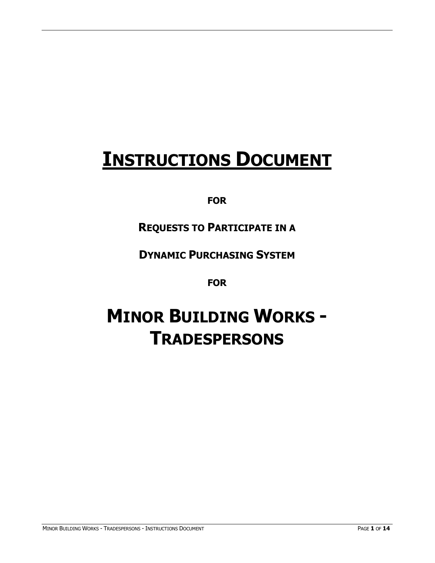# **INSTRUCTIONS DOCUMENT**

## **FOR**

# **REQUESTS TO PARTICIPATE IN A**

## **DYNAMIC PURCHASING SYSTEM**

### **FOR**

# **MINOR BUILDING WORKS - TRADESPERSONS**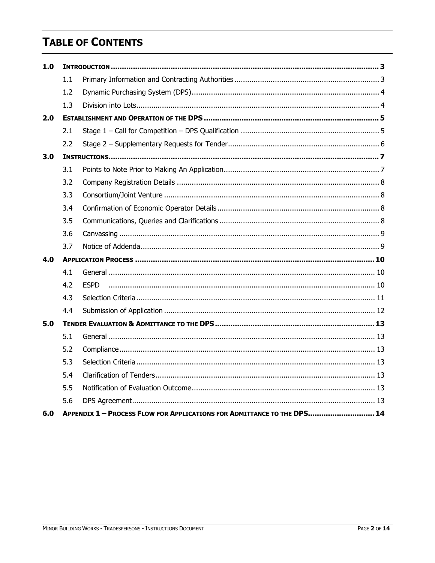# **TABLE OF CONTENTS**

| 1.0 |     |                                                                         |  |
|-----|-----|-------------------------------------------------------------------------|--|
|     | 1.1 |                                                                         |  |
|     | 1.2 |                                                                         |  |
|     | 1.3 |                                                                         |  |
| 2.0 |     |                                                                         |  |
|     | 2.1 |                                                                         |  |
|     | 2.2 |                                                                         |  |
| 3.0 |     |                                                                         |  |
|     | 3.1 |                                                                         |  |
|     | 3.2 |                                                                         |  |
|     | 3.3 |                                                                         |  |
|     | 3.4 |                                                                         |  |
|     | 3.5 |                                                                         |  |
|     | 3.6 |                                                                         |  |
|     | 3.7 |                                                                         |  |
| 4.0 |     |                                                                         |  |
|     | 4.1 |                                                                         |  |
|     | 4.2 | <b>ESPD</b>                                                             |  |
|     | 4.3 |                                                                         |  |
|     | 4.4 |                                                                         |  |
| 5.0 |     |                                                                         |  |
|     | 5.1 |                                                                         |  |
|     | 5.2 |                                                                         |  |
|     | 5.3 |                                                                         |  |
|     | 5.4 |                                                                         |  |
|     | 5.5 |                                                                         |  |
|     | 5.6 |                                                                         |  |
| 6.0 |     | APPENDIX 1 - PROCESS FLOW FOR APPLICATIONS FOR ADMITTANCE TO THE DPS 14 |  |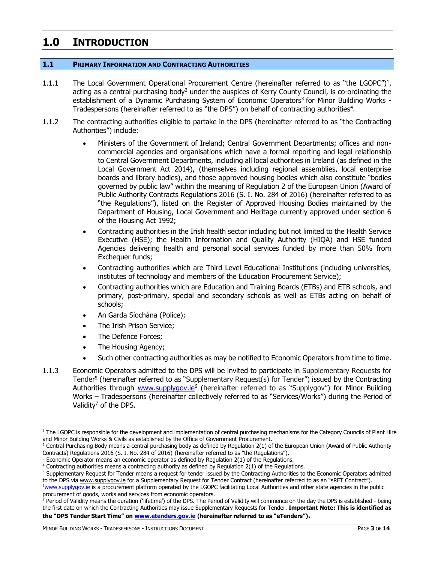## <span id="page-2-0"></span>**1.0 INTRODUCTION**

#### <span id="page-2-1"></span>**1.1 PRIMARY INFORMATION AND CONTRACTING AUTHORITIES**

- 1.1.1 The Local Government Operational Procurement Centre (hereinafter referred to as "the LGOPC")<sup>1</sup>, acting as a central purchasing body<sup>2</sup> under the auspices of Kerry County Council, is co-ordinating the establishment of a Dynamic Purchasing System of Economic Operators<sup>3</sup> for Minor Building Works -Tradespersons (hereinafter referred to as "the DPS") on behalf of contracting authorities<sup>4</sup>.
- 1.1.2 The contracting authorities eligible to partake in the DPS (hereinafter referred to as "the Contracting Authorities") include:
	- Ministers of the Government of Ireland; Central Government Departments; offices and noncommercial agencies and organisations which have a formal reporting and legal relationship to Central Government Departments, including all local authorities in Ireland (as defined in the Local Government Act 2014), (themselves including regional assemblies, local enterprise boards and library bodies), and those approved housing bodies which also constitute "bodies governed by public law" within the meaning of Regulation 2 of the European Union (Award of Public Authority Contracts Regulations 2016 (S. I. No. 284 of 2016) (hereinafter referred to as "the Regulations"), listed on the Register of Approved Housing Bodies maintained by the Department of Housing, Local Government and Heritage currently approved under section 6 of the Housing Act 1992;
	- Contracting authorities in the Irish health sector including but not limited to the Health Service Executive (HSE); the Health Information and Quality Authority (HIQA) and HSE funded Agencies delivering health and personal social services funded by more than 50% from Exchequer funds;
	- Contracting authorities which are Third Level Educational Institutions (including universities, institutes of technology and members of the Education Procurement Service);
	- Contracting authorities which are Education and Training Boards (ETBs) and ETB schools, and primary, post-primary, special and secondary schools as well as ETBs acting on behalf of schools;
	- An Garda Síochána (Police);
	- The Irish Prison Service;
	- The Defence Forces;
	- The Housing Agency;
	- Such other contracting authorities as may be notified to Economic Operators from time to time.
- 1.1.3 Economic Operators admitted to the DPS will be invited to participate in Supplementary Requests for Tender<sup>5</sup> (hereinafter referred to as "Supplementary Request(s) for Tender") issued by the Contracting Authorities through [www.supplygov.ie](http://www.supplygov.ie/)<sup>6</sup> (hereinafter referred to as "Supplygov") for Minor Building Works – Tradespersons (hereinafter collectively referred to as "Services/Works") during the Period of Validity<sup>7</sup> of the DPS.

 $^7$  Period of Validity means the duration ('lifetime') of the DPS. The Period of Validity will commence on the day the DPS is established - being the first date on which the Contracting Authorities may issue Supplementary Requests for Tender. **Important Note: This is identified as the "DPS Tender Start Time" on [www.etenders.gov.ie](http://www.etenders.gov.ie/) (hereinafter referred to as "eTenders").**

MINOR BUILDING WORKS - TRADESPERSONS - INSTRUCTIONS DOCUMENT PAGE **3** OF **14**

<sup>&</sup>lt;sup>1</sup> The LGOPC is responsible for the development and implementation of central purchasing mechanisms for the Category Councils of Plant Hire and Minor Building Works & Civils as established by the Office of Government Procurement.

<sup>&</sup>lt;sup>2</sup> Central Purchasing Body means a central purchasing body as defined by Regulation 2(1) of the European Union (Award of Public Authority Contracts) Regulations 2016 (S. I. No. 284 of 2016) (hereinafter referred to as "the Regulations").

 $3$  Economic Operator means an economic operator as defined by Regulation  $2(1)$  of the Regulations.

<sup>4</sup> Contracting authorities means a contracting authority as defined by Regulation 2(1) of the Regulations.

<sup>5</sup> Supplementary Request for Tender means a request for tender issued by the Contracting Authorities to the Economic Operators admitted to the DPS vi[a www.supplygov.ie](http://www.supplygov.ie/) for a Supplementary Request for Tender Contract (hereinafter referred to as an "sRFT Contract").

<sup>&</sup>lt;sup>6</sup>[www.supplygov.i](http://www.supplygov/)e is a procurement platform operated by the LGOPC facilitating Local Authorities and other state agencies in the public procurement of goods, works and services from economic operators.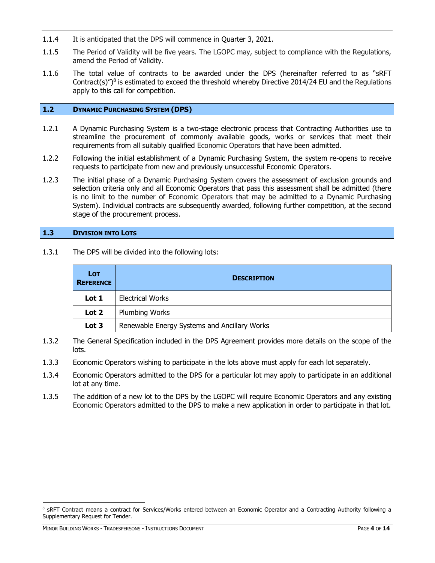- 1.1.4 It is anticipated that the DPS will commence in Quarter 3, 2021.
- 1.1.5 The Period of Validity will be five years. The LGOPC may, subject to compliance with the Regulations, amend the Period of Validity.
- 1.1.6 The total value of contracts to be awarded under the DPS (hereinafter referred to as "sRFT Contract(s)")<sup>8</sup> is estimated to exceed the threshold whereby Directive 2014/24 EU and the Regulations apply to this call for competition.

#### <span id="page-3-0"></span>**1.2 DYNAMIC PURCHASING SYSTEM (DPS)**

- 1.2.1 A Dynamic Purchasing System is a two-stage electronic process that Contracting Authorities use to streamline the procurement of commonly available goods, works or services that meet their requirements from all suitably qualified Economic Operators that have been admitted.
- 1.2.2 Following the initial establishment of a Dynamic Purchasing System, the system re-opens to receive requests to participate from new and previously unsuccessful Economic Operators.
- 1.2.3 The initial phase of a Dynamic Purchasing System covers the assessment of exclusion grounds and selection criteria only and all Economic Operators that pass this assessment shall be admitted (there is no limit to the number of Economic Operators that may be admitted to a Dynamic Purchasing System). Individual contracts are subsequently awarded, following further competition, at the second stage of the procurement process.

#### <span id="page-3-1"></span>**1.3 DIVISION INTO LOTS**

1.3.1 The DPS will be divided into the following lots:

| <b>LOT</b><br><b>REFERENCE</b> | <b>DESCRIPTION</b>                           |
|--------------------------------|----------------------------------------------|
| Lot 1                          | <b>Electrical Works</b>                      |
| Lot 2                          | <b>Plumbing Works</b>                        |
| Lot 3                          | Renewable Energy Systems and Ancillary Works |

- 1.3.2 The General Specification included in the DPS Agreement provides more details on the scope of the lots.
- 1.3.3 Economic Operators wishing to participate in the lots above must apply for each lot separately.
- 1.3.4 Economic Operators admitted to the DPS for a particular lot may apply to participate in an additional lot at any time.
- 1.3.5 The addition of a new lot to the DPS by the LGOPC will require Economic Operators and any existing Economic Operators admitted to the DPS to make a new application in order to participate in that lot.

MINOR BUILDING WORKS - TRADESPERSONS - INSTRUCTIONS DOCUMENT PAGE **4** OF **14**

<sup>&</sup>lt;sup>8</sup> SRFT Contract means a contract for Services/Works entered between an Economic Operator and a Contracting Authority following a Supplementary Request for Tender.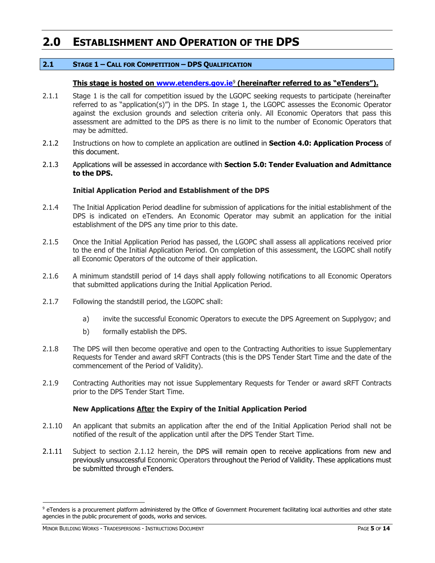## <span id="page-4-0"></span>**2.0 ESTABLISHMENT AND OPERATION OF THE DPS**

#### <span id="page-4-1"></span>**2.1 STAGE 1 – CALL FOR COMPETITION – DPS QUALIFICATION**

#### **This stage is hosted on [www.etenders.gov.ie](http://www.etenders.gov.ie/)**<sup>9</sup> **(hereinafter referred to as "eTenders").**

- 2.1.1 Stage 1 is the call for competition issued by the LGOPC seeking requests to participate (hereinafter referred to as "application(s)") in the DPS. In stage 1, the LGOPC assesses the Economic Operator against the exclusion grounds and selection criteria only. All Economic Operators that pass this assessment are admitted to the DPS as there is no limit to the number of Economic Operators that may be admitted.
- 2.1.2 Instructions on how to complete an application are outlined in **Section 4.0: Application Process** of this document.
- 2.1.3 Applications will be assessed in accordance with **Section 5.0: Tender Evaluation and Admittance to the DPS.**

#### **Initial Application Period and Establishment of the DPS**

- 2.1.4 The Initial Application Period deadline for submission of applications for the initial establishment of the DPS is indicated on eTenders. An Economic Operator may submit an application for the initial establishment of the DPS any time prior to this date.
- 2.1.5 Once the Initial Application Period has passed, the LGOPC shall assess all applications received prior to the end of the Initial Application Period. On completion of this assessment, the LGOPC shall notify all Economic Operators of the outcome of their application.
- 2.1.6 A minimum standstill period of 14 days shall apply following notifications to all Economic Operators that submitted applications during the Initial Application Period.
- 2.1.7 Following the standstill period, the LGOPC shall:
	- a) invite the successful Economic Operators to execute the DPS Agreement on Supplygov; and
	- b) formally establish the DPS.
- 2.1.8 The DPS will then become operative and open to the Contracting Authorities to issue Supplementary Requests for Tender and award sRFT Contracts (this is the DPS Tender Start Time and the date of the commencement of the Period of Validity).
- 2.1.9 Contracting Authorities may not issue Supplementary Requests for Tender or award sRFT Contracts prior to the DPS Tender Start Time.

#### **New Applications After the Expiry of the Initial Application Period**

- 2.1.10 An applicant that submits an application after the end of the Initial Application Period shall not be notified of the result of the application until after the DPS Tender Start Time.
- 2.1.11 Subject to section 2.1.12 herein, the DPS will remain open to receive applications from new and previously unsuccessful Economic Operators throughout the Period of Validity. These applications must be submitted through eTenders.

<sup>&</sup>lt;sup>9</sup> eTenders is a procurement platform administered by the Office of Government Procurement facilitating local authorities and other state agencies in the public procurement of goods, works and services.

MINOR BUILDING WORKS - TRADESPERSONS - INSTRUCTIONS DOCUMENT PAGE **5** OF **14**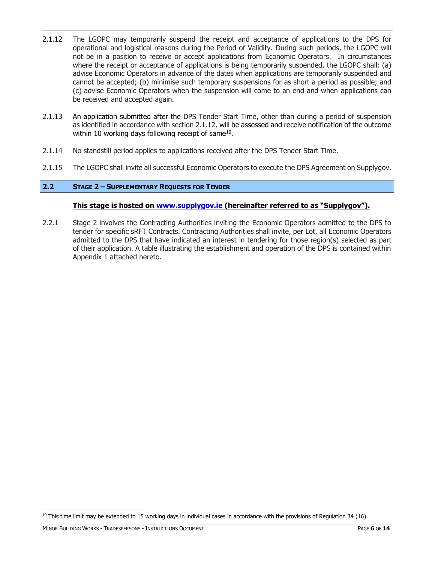- 2.1.12 The LGOPC may temporarily suspend the receipt and acceptance of applications to the DPS for operational and logistical reasons during the Period of Validity. During such periods, the LGOPC will not be in a position to receive or accept applications from Economic Operators. In circumstances where the receipt or acceptance of applications is being temporarily suspended, the LGOPC shall: (a) advise Economic Operators in advance of the dates when applications are temporarily suspended and cannot be accepted; (b) minimise such temporary suspensions for as short a period as possible; and (c) advise Economic Operators when the suspension will come to an end and when applications can be received and accepted again.
- 2.1.13 An application submitted after the DPS Tender Start Time, other than during a period of suspension as identified in accordance with section 2.1.12, will be assessed and receive notification of the outcome within 10 working days following receipt of same $^{10}$ .
- 2.1.14 No standstill period applies to applications received after the DPS Tender Start Time.
- 2.1.15 The LGOPC shall invite all successful Economic Operators to execute the DPS Agreement on Supplygov.

#### <span id="page-5-0"></span>**2.2 STAGE 2 – SUPPLEMENTARY REQUESTS FOR TENDER**

#### **This stage is hosted on [www.supplygov.ie](http://www.supplygov.ie/) (hereinafter referred to as "Supplygov").**

2.2.1 Stage 2 involves the Contracting Authorities inviting the Economic Operators admitted to the DPS to tender for specific sRFT Contracts. Contracting Authorities shall invite, per Lot, all Economic Operators admitted to the DPS that have indicated an interest in tendering for those region(s) selected as part of their application. A table illustrating the establishment and operation of the DPS is contained within Appendix 1 attached hereto.

 $10$  This time limit may be extended to 15 working days in individual cases in accordance with the provisions of Regulation 34 (16).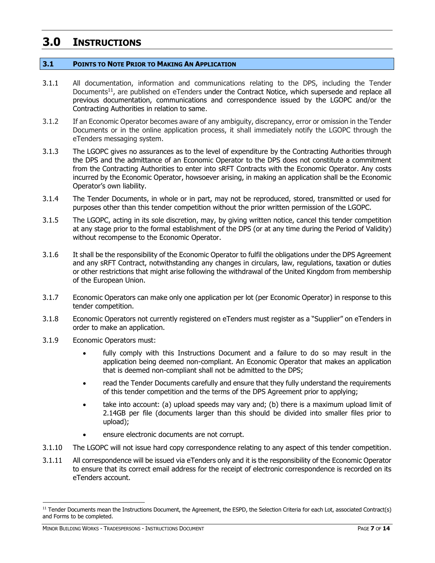## <span id="page-6-0"></span>**3.0 INSTRUCTIONS**

#### <span id="page-6-1"></span>**3.1 POINTS TO NOTE PRIOR TO MAKING AN APPLICATION**

- 3.1.1 All documentation, information and communications relating to the DPS, including the Tender Documents<sup>11</sup>, are published on eTenders under the Contract Notice, which supersede and replace all previous documentation, communications and correspondence issued by the LGOPC and/or the Contracting Authorities in relation to same.
- 3.1.2 If an Economic Operator becomes aware of any ambiguity, discrepancy, error or omission in the Tender Documents or in the online application process, it shall immediately notify the LGOPC through the eTenders messaging system.
- 3.1.3 The LGOPC gives no assurances as to the level of expenditure by the Contracting Authorities through the DPS and the admittance of an Economic Operator to the DPS does not constitute a commitment from the Contracting Authorities to enter into sRFT Contracts with the Economic Operator. Any costs incurred by the Economic Operator, howsoever arising, in making an application shall be the Economic Operator's own liability.
- 3.1.4 The Tender Documents, in whole or in part, may not be reproduced, stored, transmitted or used for purposes other than this tender competition without the prior written permission of the LGOPC.
- 3.1.5 The LGOPC, acting in its sole discretion, may, by giving written notice, cancel this tender competition at any stage prior to the formal establishment of the DPS (or at any time during the Period of Validity) without recompense to the Economic Operator.
- 3.1.6 It shall be the responsibility of the Economic Operator to fulfil the obligations under the DPS Agreement and any sRFT Contract, notwithstanding any changes in circulars, law, regulations, taxation or duties or other restrictions that might arise following the withdrawal of the United Kingdom from membership of the European Union.
- 3.1.7 Economic Operators can make only one application per lot (per Economic Operator) in response to this tender competition.
- 3.1.8 Economic Operators not currently registered on eTenders must register as a "Supplier" on eTenders in order to make an application.
- 3.1.9 Economic Operators must:
	- fully comply with this Instructions Document and a failure to do so may result in the application being deemed non-compliant. An Economic Operator that makes an application that is deemed non-compliant shall not be admitted to the DPS;
	- read the Tender Documents carefully and ensure that they fully understand the requirements of this tender competition and the terms of the DPS Agreement prior to applying;
	- take into account: (a) upload speeds may vary and; (b) there is a maximum upload limit of 2.14GB per file (documents larger than this should be divided into smaller files prior to upload);
	- ensure electronic documents are not corrupt.
- 3.1.10 The LGOPC will not issue hard copy correspondence relating to any aspect of this tender competition.
- 3.1.11 All correspondence will be issued via eTenders only and it is the responsibility of the Economic Operator to ensure that its correct email address for the receipt of electronic correspondence is recorded on its eTenders account.

<sup>&</sup>lt;sup>11</sup> Tender Documents mean the Instructions Document, the Agreement, the ESPD, the Selection Criteria for each Lot, associated Contract(s) and Forms to be completed.

MINOR BUILDING WORKS - TRADESPERSONS - INSTRUCTIONS DOCUMENT PAGE **7** OF **14**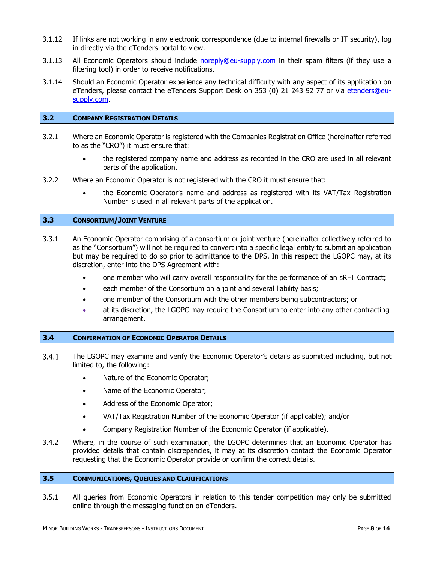- 3.1.12 If links are not working in any electronic correspondence (due to internal firewalls or IT security), log in directly via the eTenders portal to view.
- 3.1.13 All Economic Operators should include [noreply@eu-supply.com](mailto:noreply@eu-supply.com) in their spam filters (if they use a filtering tool) in order to receive notifications.
- 3.1.14 Should an Economic Operator experience any technical difficulty with any aspect of its application on eTenders, please contact the eTenders Support Desk on 353 (0) 21 243 92 77 or via etenders@eusupply.com.

#### <span id="page-7-0"></span>**3.2 COMPANY REGISTRATION DETAILS**

- 3.2.1 Where an Economic Operator is registered with the Companies Registration Office (hereinafter referred to as the "CRO") it must ensure that:
	- the registered company name and address as recorded in the CRO are used in all relevant parts of the application.
- 3.2.2 Where an Economic Operator is not registered with the CRO it must ensure that:
	- the Economic Operator's name and address as registered with its VAT/Tax Registration Number is used in all relevant parts of the application.

#### <span id="page-7-1"></span>**3.3 CONSORTIUM/JOINT VENTURE**

- 3.3.1 An Economic Operator comprising of a consortium or joint venture (hereinafter collectively referred to as the "Consortium") will not be required to convert into a specific legal entity to submit an application but may be required to do so prior to admittance to the DPS. In this respect the LGOPC may, at its discretion, enter into the DPS Agreement with:
	- one member who will carry overall responsibility for the performance of an sRFT Contract;
	- each member of the Consortium on a joint and several liability basis;
	- one member of the Consortium with the other members being subcontractors; or
	- at its discretion, the LGOPC may require the Consortium to enter into any other contracting arrangement.

#### <span id="page-7-2"></span>**3.4 CONFIRMATION OF ECONOMIC OPERATOR DETAILS**

- $3.4.1$ The LGOPC may examine and verify the Economic Operator's details as submitted including, but not limited to, the following:
	- Nature of the Economic Operator;
	- Name of the Economic Operator;
	- Address of the Economic Operator;
	- VAT/Tax Registration Number of the Economic Operator (if applicable); and/or
	- Company Registration Number of the Economic Operator (if applicable).
- 3.4.2 Where, in the course of such examination, the LGOPC determines that an Economic Operator has provided details that contain discrepancies, it may at its discretion contact the Economic Operator requesting that the Economic Operator provide or confirm the correct details.

#### <span id="page-7-3"></span>**3.5 COMMUNICATIONS, QUERIES AND CLARIFICATIONS**

3.5.1 All queries from Economic Operators in relation to this tender competition may only be submitted online through the messaging function on eTenders.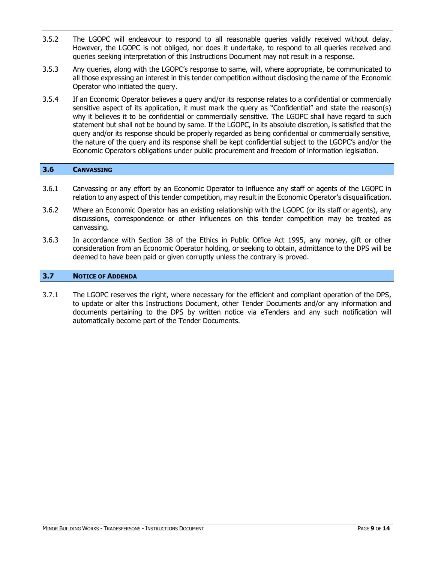- 3.5.2 The LGOPC will endeavour to respond to all reasonable queries validly received without delay. However, the LGOPC is not obliged, nor does it undertake, to respond to all queries received and queries seeking interpretation of this Instructions Document may not result in a response.
- 3.5.3 Any queries, along with the LGOPC's response to same, will, where appropriate, be communicated to all those expressing an interest in this tender competition without disclosing the name of the Economic Operator who initiated the query.
- 3.5.4 If an Economic Operator believes a query and/or its response relates to a confidential or commercially sensitive aspect of its application, it must mark the query as "Confidential" and state the reason(s) why it believes it to be confidential or commercially sensitive. The LGOPC shall have regard to such statement but shall not be bound by same. If the LGOPC, in its absolute discretion, is satisfied that the query and/or its response should be properly regarded as being confidential or commercially sensitive, the nature of the query and its response shall be kept confidential subject to the LGOPC's and/or the Economic Operators obligations under public procurement and freedom of information legislation.

#### <span id="page-8-0"></span>**3.6 CANVASSING**

- 3.6.1 Canvassing or any effort by an Economic Operator to influence any staff or agents of the LGOPC in relation to any aspect of this tender competition, may result in the Economic Operator's disqualification.
- 3.6.2 Where an Economic Operator has an existing relationship with the LGOPC (or its staff or agents), any discussions, correspondence or other influences on this tender competition may be treated as canvassing.
- 3.6.3 In accordance with Section 38 of the Ethics in Public Office Act 1995, any money, gift or other consideration from an Economic Operator holding, or seeking to obtain, admittance to the DPS will be deemed to have been paid or given corruptly unless the contrary is proved.

#### <span id="page-8-1"></span>**3.7 NOTICE OF ADDENDA**

3.7.1 The LGOPC reserves the right, where necessary for the efficient and compliant operation of the DPS, to update or alter this Instructions Document, other Tender Documents and/or any information and documents pertaining to the DPS by written notice via eTenders and any such notification will automatically become part of the Tender Documents.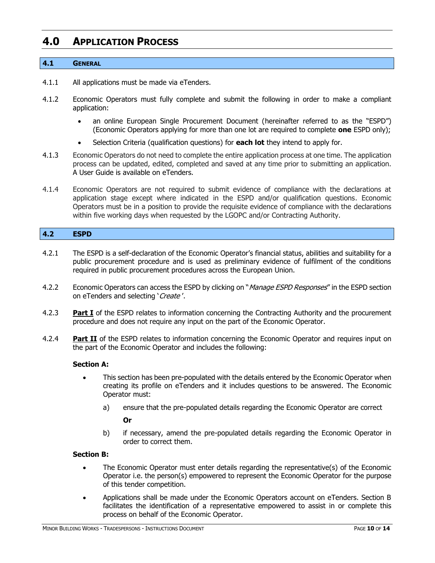### <span id="page-9-0"></span>**4.0 APPLICATION PROCESS**

#### <span id="page-9-1"></span>**4.1 GENERAL**

- 4.1.1 All applications must be made via eTenders.
- 4.1.2 Economic Operators must fully complete and submit the following in order to make a compliant application:
	- an online European Single Procurement Document (hereinafter referred to as the "ESPD") (Economic Operators applying for more than one lot are required to complete **one** ESPD only);
	- Selection Criteria (qualification questions) for **each lot** they intend to apply for.
- 4.1.3 Economic Operators do not need to complete the entire application process at one time. The application process can be updated, edited, completed and saved at any time prior to submitting an application. A User Guide is available on eTenders.
- 4.1.4 Economic Operators are not required to submit evidence of compliance with the declarations at application stage except where indicated in the ESPD and/or qualification questions. Economic Operators must be in a position to provide the requisite evidence of compliance with the declarations within five working days when requested by the LGOPC and/or Contracting Authority.

#### <span id="page-9-2"></span>**4.2 ESPD**

- 4.2.1 The ESPD is a self-declaration of the Economic Operator's financial status, abilities and suitability for a public procurement procedure and is used as preliminary evidence of fulfilment of the conditions required in public procurement procedures across the European Union.
- 4.2.2 Economic Operators can access the ESPD by clicking on "*Manage ESPD Responses*" in the ESPD section on eTenders and selecting 'Create'.
- 4.2.3 **Part I** of the ESPD relates to information concerning the Contracting Authority and the procurement procedure and does not require any input on the part of the Economic Operator.
- 4.2.4 **Part II** of the ESPD relates to information concerning the Economic Operator and requires input on the part of the Economic Operator and includes the following:

#### **Section A:**

- This section has been pre-populated with the details entered by the Economic Operator when creating its profile on eTenders and it includes questions to be answered. The Economic Operator must:
	- a) ensure that the pre-populated details regarding the Economic Operator are correct

#### **Or**

b) if necessary, amend the pre-populated details regarding the Economic Operator in order to correct them.

#### **Section B:**

- The Economic Operator must enter details regarding the representative(s) of the Economic Operator i.e. the person(s) empowered to represent the Economic Operator for the purpose of this tender competition.
- Applications shall be made under the Economic Operators account on eTenders. Section B facilitates the identification of a representative empowered to assist in or complete this process on behalf of the Economic Operator.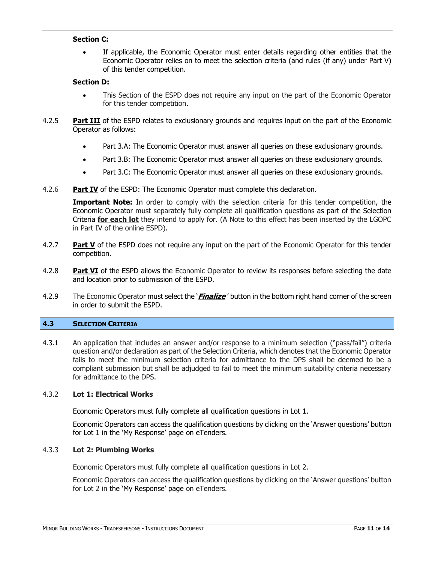#### **Section C:**

• If applicable, the Economic Operator must enter details regarding other entities that the Economic Operator relies on to meet the selection criteria (and rules (if any) under Part V) of this tender competition.

#### **Section D:**

- This Section of the ESPD does not require any input on the part of the Economic Operator for this tender competition.
- 4.2.5 **Part III** of the ESPD relates to exclusionary grounds and requires input on the part of the Economic Operator as follows:
	- Part 3.A: The Economic Operator must answer all queries on these exclusionary grounds.
	- Part 3.B: The Economic Operator must answer all queries on these exclusionary grounds.
	- Part 3.C: The Economic Operator must answer all queries on these exclusionary grounds.
- 4.2.6 **Part IV** of the ESPD: The Economic Operator must complete this declaration.

**Important Note:** In order to comply with the selection criteria for this tender competition, the Economic Operator must separately fully complete all qualification questions as part of the Selection Criteria **for each lot** they intend to apply for. (A Note to this effect has been inserted by the LGOPC in Part IV of the online ESPD).

- 4.2.7 **Part V** of the ESPD does not require any input on the part of the Economic Operator for this tender competition.
- 4.2.8 **Part VI** of the ESPD allows the Economic Operator to review its responses before selecting the date and location prior to submission of the ESPD.
- 4.2.9 The Economic Operator must select the '**Finalize** ' button in the bottom right hand corner of the screen in order to submit the ESPD.

#### <span id="page-10-0"></span>**4.3 SELECTION CRITERIA**

4.3.1 An application that includes an answer and/or response to a minimum selection ("pass/fail") criteria question and/or declaration as part of the Selection Criteria, which denotes that the Economic Operator fails to meet the minimum selection criteria for admittance to the DPS shall be deemed to be a compliant submission but shall be adjudged to fail to meet the minimum suitability criteria necessary for admittance to the DPS.

#### 4.3.2 **Lot 1: Electrical Works**

Economic Operators must fully complete all qualification questions in Lot 1.

Economic Operators can access the qualification questions by clicking on the 'Answer questions' button for Lot 1 in the 'My Response' page on eTenders.

#### 4.3.3 **Lot 2: Plumbing Works**

Economic Operators must fully complete all qualification questions in Lot 2.

Economic Operators can access the qualification questions by clicking on the 'Answer questions' button for Lot 2 in the 'My Response' page on eTenders.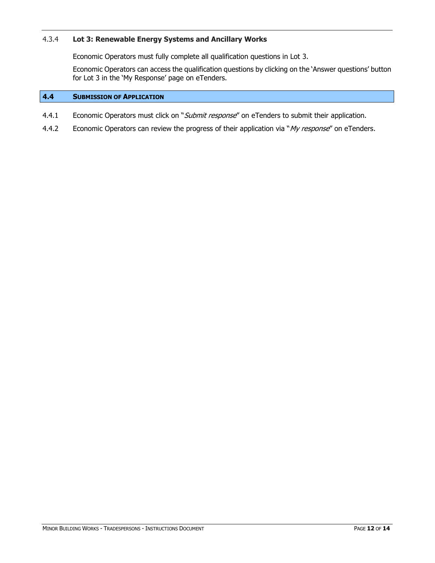#### 4.3.4 **Lot 3: Renewable Energy Systems and Ancillary Works**

Economic Operators must fully complete all qualification questions in Lot 3.

Economic Operators can access the qualification questions by clicking on the 'Answer questions' button for Lot 3 in the 'My Response' page on eTenders.

#### <span id="page-11-0"></span>**4.4 SUBMISSION OF APPLICATION**

- 4.4.1 Economic Operators must click on "Submit response" on eTenders to submit their application.
- 4.4.2 Economic Operators can review the progress of their application via "My response" on eTenders.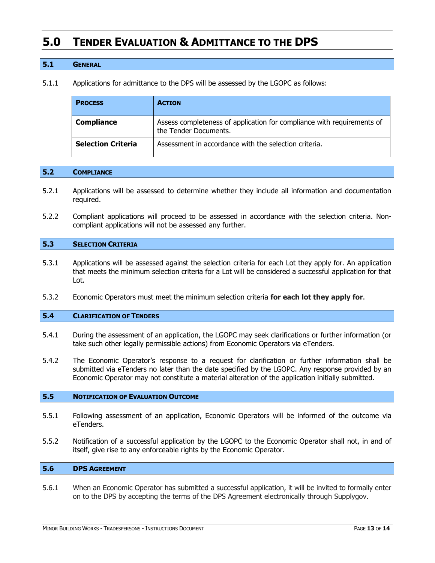## <span id="page-12-0"></span>**5.0 TENDER EVALUATION & ADMITTANCE TO THE DPS**

#### <span id="page-12-1"></span>**5.1 GENERAL**

5.1.1 Applications for admittance to the DPS will be assessed by the LGOPC as follows:

| <b>PROCESS</b>            | <b>ACTION</b>                                                                                   |
|---------------------------|-------------------------------------------------------------------------------------------------|
| <b>Compliance</b>         | Assess completeness of application for compliance with requirements of<br>the Tender Documents. |
| <b>Selection Criteria</b> | Assessment in accordance with the selection criteria.                                           |

#### <span id="page-12-2"></span>**5.2 COMPLIANCE**

- 5.2.1 Applications will be assessed to determine whether they include all information and documentation required.
- 5.2.2 Compliant applications will proceed to be assessed in accordance with the selection criteria. Noncompliant applications will not be assessed any further.

#### <span id="page-12-3"></span>**5.3 SELECTION CRITERIA**

- 5.3.1 Applications will be assessed against the selection criteria for each Lot they apply for. An application that meets the minimum selection criteria for a Lot will be considered a successful application for that Lot.
- 5.3.2 Economic Operators must meet the minimum selection criteria **for each lot they apply for**.

#### <span id="page-12-4"></span>**5.4 CLARIFICATION OF TENDERS**

- 5.4.1 During the assessment of an application, the LGOPC may seek clarifications or further information (or take such other legally permissible actions) from Economic Operators via eTenders.
- 5.4.2 The Economic Operator's response to a request for clarification or further information shall be submitted via eTenders no later than the date specified by the LGOPC. Any response provided by an Economic Operator may not constitute a material alteration of the application initially submitted.

#### <span id="page-12-5"></span>**5.5 NOTIFICATION OF EVALUATION OUTCOME**

- 5.5.1 Following assessment of an application, Economic Operators will be informed of the outcome via eTenders.
- 5.5.2 Notification of a successful application by the LGOPC to the Economic Operator shall not, in and of itself, give rise to any enforceable rights by the Economic Operator.

#### <span id="page-12-6"></span>**5.6 DPS AGREEMENT**

5.6.1 When an Economic Operator has submitted a successful application, it will be invited to formally enter on to the DPS by accepting the terms of the DPS Agreement electronically through Supplygov.